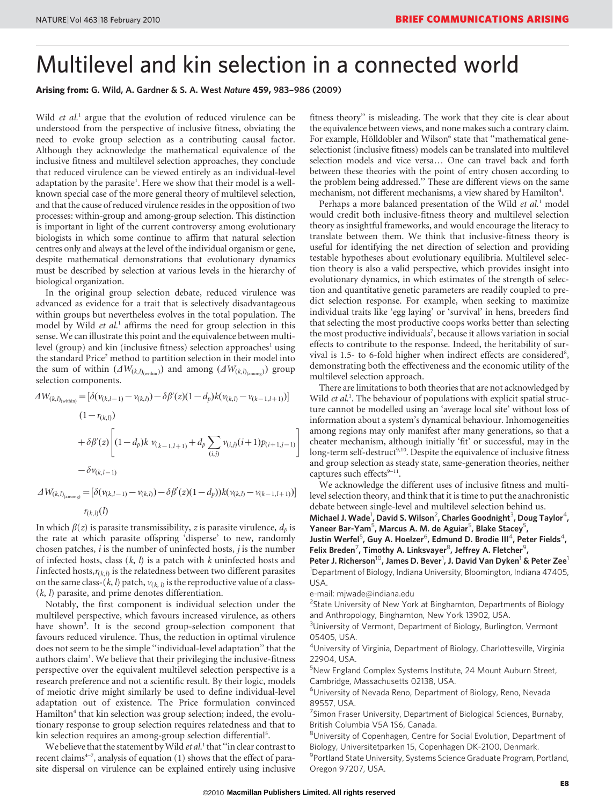# Multilevel and kin selection in a connected world

Arising from: G. Wild, A. Gardner & S. A. West Nature 459, 983–986 (2009)

Wild et al.<sup>1</sup> argue that the evolution of reduced virulence can be understood from the perspective of inclusive fitness, obviating the need to evoke group selection as a contributing causal factor. Although they acknowledge the mathematical equivalence of the inclusive fitness and multilevel selection approaches, they conclude that reduced virulence can be viewed entirely as an individual-level adaptation by the parasite<sup>1</sup>. Here we show that their model is a wellknown special case of the more general theory of multilevel selection, and that the cause of reduced virulence resides in the opposition of two processes: within-group and among-group selection. This distinction is important in light of the current controversy among evolutionary biologists in which some continue to affirm that natural selection centres only and always at the level of the individual organism or gene, despite mathematical demonstrations that evolutionary dynamics must be described by selection at various levels in the hierarchy of biological organization.

In the original group selection debate, reduced virulence was advanced as evidence for a trait that is selectively disadvantageous within groups but nevertheless evolves in the total population. The model by Wild et al.<sup>1</sup> affirms the need for group selection in this sense. We can illustrate this point and the equivalence between multilevel (group) and kin (inclusive fitness) selection approaches<sup>1</sup> using the standard Price<sup>2</sup> method to partition selection in their model into the sum of within  $(\Delta W_{(k,l)_{\text{(within)}}})$  and among  $(\Delta W_{(k,l)_{\text{(among)}}})$  group selection components.

$$
\Delta W_{(k,l)_{(\text{within})}} = [\delta(\nu_{(k,l-1)} - \nu_{(k,l)}) - \delta\beta'(z)(1 - d_p)k(\nu_{(k,l)} - \nu_{(k-1,l+1)})]
$$
  

$$
(1 - r_{(k,l)})
$$
  

$$
+ \delta\beta'(z) \left[ (1 - d_p)k \nu_{(k-1,l+1)} + d_p \sum_{(i,j)} \nu_{(i,j)}(i+1)p_{(i+1,j-1)} \right]
$$
  

$$
- \delta\nu_{(k,l-1)}
$$

 $\Delta W_{(k,l)_{\text{(among)}}} = [\delta(\nu_{(k,l-1)} - \nu_{(k,l)}) - \delta \beta'(z)(1-d_p))k(\nu_{(k,l)} - \nu_{(k-1,l+1)})]$  $r_{(k,l)}(l)$ 

In which  $\beta(z)$  is parasite transmissibility, z is parasite virulence,  $d_p$  is the rate at which parasite offspring 'disperse' to new, randomly chosen patches,  $i$  is the number of uninfected hosts,  $j$  is the number of infected hosts, class  $(k, l)$  is a patch with k uninfected hosts and l infected hosts, $r_{(k,l)}$  is the relatedness between two different parasites on the same class-(k, l) patch,  $v_{(k, l)}$  is the reproductive value of a class-(k, l) parasite, and prime denotes differentiation.

Notably, the first component is individual selection under the multilevel perspective, which favours increased virulence, as others have shown<sup>3</sup>. It is the second group-selection component that favours reduced virulence. Thus, the reduction in optimal virulence does not seem to be the simple ''individual-level adaptation'' that the authors claim<sup>1</sup>. We believe that their privileging the inclusive-fitness perspective over the equivalent multilevel selection perspective is a research preference and not a scientific result. By their logic, models of meiotic drive might similarly be used to define individual-level adaptation out of existence. The Price formulation convinced Hamilton<sup>4</sup> that kin selection was group selection; indeed, the evolutionary response to group selection requires relatedness and that to kin selection requires an among-group selection differential<sup>5</sup>.

We believe that the statement by Wild et al.<sup>1</sup> that "in clear contrast to recent claims $4-7$ , analysis of equation (1) shows that the effect of parasite dispersal on virulence can be explained entirely using inclusive fitness theory'' is misleading. The work that they cite is clear about the equivalence between views, and none makes such a contrary claim. For example, Hölldobler and Wilson<sup>6</sup> state that "mathematical geneselectionist (inclusive fitness) models can be translated into multilevel selection models and vice versa… One can travel back and forth between these theories with the point of entry chosen according to the problem being addressed.'' These are different views on the same mechanism, not different mechanisms, a view shared by Hamilton<sup>4</sup>.

Perhaps a more balanced presentation of the Wild et al.<sup>1</sup> model would credit both inclusive-fitness theory and multilevel selection theory as insightful frameworks, and would encourage the literacy to translate between them. We think that inclusive-fitness theory is useful for identifying the net direction of selection and providing testable hypotheses about evolutionary equilibria. Multilevel selection theory is also a valid perspective, which provides insight into evolutionary dynamics, in which estimates of the strength of selection and quantitative genetic parameters are readily coupled to predict selection response. For example, when seeking to maximize individual traits like 'egg laying' or 'survival' in hens, breeders find that selecting the most productive coops works better than selecting the most productive individuals<sup>7</sup>, because it allows variation in social effects to contribute to the response. Indeed, the heritability of survival is 1.5- to 6-fold higher when indirect effects are considered<sup>8</sup>, demonstrating both the effectiveness and the economic utility of the multilevel selection approach.

There are limitations to both theories that are not acknowledged by Wild et al.<sup>1</sup>. The behaviour of populations with explicit spatial structure cannot be modelled using an 'average local site' without loss of information about a system's dynamical behaviour. Inhomogeneities among regions may only manifest after many generations, so that a cheater mechanism, although initially 'fit' or successful, may in the long-term self-destruct<sup>9,10</sup>. Despite the equivalence of inclusive fitness and group selection as steady state, same-generation theories, neither captures such effects<sup>9-11</sup>.

We acknowledge the different uses of inclusive fitness and multilevel selection theory, and think that it is time to put the anachronistic debate between single-level and multilevel selection behind us.

Michael J. Wade<sup>1</sup>, David S. Wilson<sup>2</sup>, Charles Goodnight<sup>3</sup>, Doug Taylor<sup>4</sup>, Yaneer Bar-Yam<sup>5</sup>, Marcus A. M. de Aguiar<sup>5</sup>, Blake Stacey<sup>5</sup>,

Justin Werfel<sup>5</sup>, Guy A. Hoelzer<sup>6</sup>, Edmund D. Brodie III<sup>4</sup>, Peter Fields<sup>4</sup>, Felix Breden<sup>7</sup>, Timothy A. Linksvayer<sup>8</sup>, Jeffrey A. Fletcher<sup>9</sup>,

Peter J. Richerson<sup>10</sup>, James D. Bever<sup>1</sup>, J. David Van Dyken<sup>1</sup> & Peter Zee<sup>1</sup> <sup>1</sup>Department of Biology, Indiana University, Bloomington, Indiana 47405, USA.

[e-mail: mjwade@indiana.edu](mailto:mjwade@indiana.edu)

<sup>2</sup>State University of New York at Binghamton, Departments of Biology and Anthropology, Binghamton, New York 13902, USA.

<sup>3</sup>University of Vermont, Department of Biology, Burlington, Vermont 05405, USA.

4 University of Virginia, Department of Biology, Charlottesville, Virginia 22904, USA.

5 New England Complex Systems Institute, 24 Mount Auburn Street, Cambridge, Massachusetts 02138, USA.

6 University of Nevada Reno, Department of Biology, Reno, Nevada 89557, USA.

<sup>7</sup> Simon Fraser University, Department of Biological Sciences, Burnaby, British Columbia V5A 1S6, Canada.

8 University of Copenhagen, Centre for Social Evolution, Department of Biology, Universitetparken 15, Copenhagen DK-2100, Denmark.

<sup>9</sup> Portland State University, Systems Science Graduate Program, Portland, Oregon 97207, USA.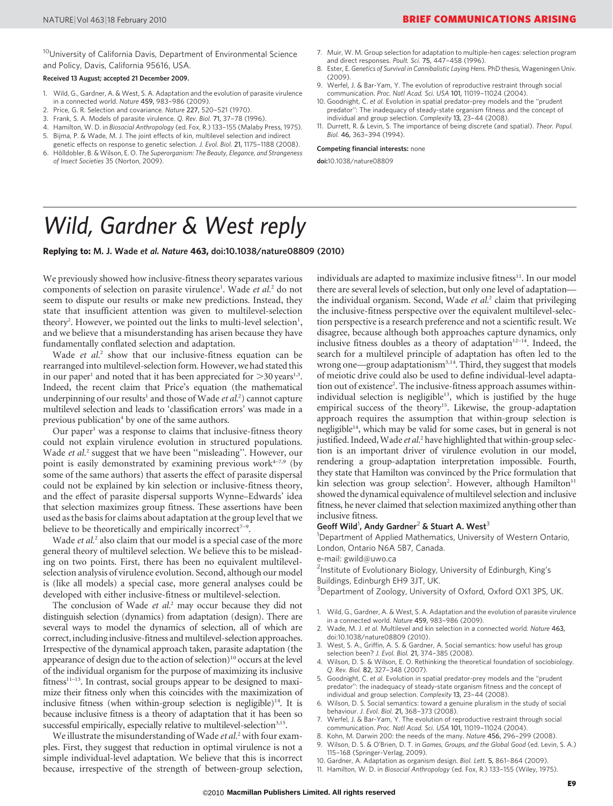<sup>10</sup> University of California Davis, Department of Environmental Science and Policy, Davis, California 95616, USA.

### Received 13 August; accepted 21 December 2009.

- 1. Wild, G., Gardner, A. & West, S. A. Adaptation and the evolution of parasite virulence in a connected world. Nature 459, 983–986 (2009).
- 2. Price, G. R. Selection and covariance. Nature 227, 520–521 (1970).<br>3. Frank S. A. Models of parasite virulence, O. Rev. Biol. 71, 37–78 (19
- 3. Frank, S. A. Models of parasite virulence. Q. Rev. Biol. 71, 37–78 (1996).
- 4. Hamilton, W. D. in Biosocial Anthropology (ed. Fox, R.) 133–155 (Malaby Press, 1975).
- 5. Bijma, P. & Wade, M. J. The joint effects of kin, multilevel selection and indirect genetic effects on response to genetic selection. J. Evol. Biol. 21, 1175–1188 (2008).
- 6. Hölldobler, B. & Wilson, E. O. The Superorganism: The Beauty, Elegance, and Strangeness of Insect Societies 35 (Norton, 2009).
- 7. Muir, W. M. Group selection for adaptation to multiple-hen cages: selection program and direct responses. Poult. Sci. 75, 447–458 (1996).
- 8. Ester, E. Genetics of Survival in Cannibalistic Laying Hens. PhD thesis, Wageningen Univ.  $(2009)$
- 9. Werfel, J. & Bar-Yam, Y. The evolution of reproductive restraint through social communication. Proc. Natl Acad. Sci. USA 101, 11019–11024 (2004).
- 10. Goodnight, C. et al. Evolution in spatial predator-prey models and the ''prudent predator'': The inadequacy of steady-state organism fitness and the concept of individual and group selection. Complexity 13, 23–44 (2008).
- 11. Durrett, R. & Levin, S. The importance of being discrete (and spatial). Theor. Popul. Biol. 46, 363–394 (1994).

#### Competing financial interests: none

doi:10.1038/nature08809

## Wild, Gardner & West reply

Replying to: M. J. Wade et al. Nature 463, doi:10.1038/nature08809 (2010)

We previously showed how inclusive-fitness theory separates various components of selection on parasite virulence<sup>1</sup>. Wade et al.<sup>2</sup> do not seem to dispute our results or make new predictions. Instead, they state that insufficient attention was given to multilevel-selection theory<sup>2</sup>. However, we pointed out the links to multi-level selection<sup>1</sup>, and we believe that a misunderstanding has arisen because they have fundamentally conflated selection and adaptation.

Wade et al.<sup>2</sup> show that our inclusive-fitness equation can be rearranged into multilevel-selection form. However, we had stated this in our paper<sup>1</sup> and noted that it has been appreciated for  $>$ 30 years<sup>1,3</sup>. Indeed, the recent claim that Price's equation (the mathematical underpinning of our results<sup>1</sup> and those of Wade et al.<sup>2</sup>) cannot capture multilevel selection and leads to 'classification errors' was made in a previous publication<sup>4</sup> by one of the same authors.

Our paper $<sup>1</sup>$  was a response to claims that inclusive-fitness theory</sup> could not explain virulence evolution in structured populations. Wade et al.<sup>2</sup> suggest that we have been "misleading". However, our point is easily demonstrated by examining previous work<sup>4-7,9</sup> (by some of the same authors) that asserts the effect of parasite dispersal could not be explained by kin selection or inclusive-fitness theory, and the effect of parasite dispersal supports Wynne–Edwards' idea that selection maximizes group fitness. These assertions have been used as the basis for claims about adaptation at the group level that we believe to be theoretically and empirically incorrect<sup> $7-9$ </sup>.

Wade *et al.*<sup>2</sup> also claim that our model is a special case of the more general theory of multilevel selection. We believe this to be misleading on two points. First, there has been no equivalent multilevelselection analysis of virulence evolution. Second, although our model is (like all models) a special case, more general analyses could be developed with either inclusive-fitness or multilevel-selection.

The conclusion of Wade et al.<sup>2</sup> may occur because they did not distinguish selection (dynamics) from adaptation (design). There are several ways to model the dynamics of selection, all of which are correct, including inclusive-fitness and multilevel-selection approaches. Irrespective of the dynamical approach taken, parasite adaptation (the appearance of design due to the action of selection)<sup>10</sup> occurs at the level of the individual organism for the purpose of maximizing its inclusive fitness<sup>11-13</sup>. In contrast, social groups appear to be designed to maximize their fitness only when this coincides with the maximization of inclusive fitness (when within-group selection is negligible)<sup>14</sup>. It is because inclusive fitness is a theory of adaptation that it has been so successful empirically, especially relative to multilevel-selection<sup>3,15</sup>.

We illustrate the misunderstanding of Wade et al.<sup>2</sup> with four examples. First, they suggest that reduction in optimal virulence is not a simple individual-level adaptation. We believe that this is incorrect because, irrespective of the strength of between-group selection,

individuals are adapted to maximize inclusive fitness<sup>11</sup>. In our model there are several levels of selection, but only one level of adaptation the individual organism. Second, Wade  $et$   $al<sup>2</sup>$  claim that privileging the inclusive-fitness perspective over the equivalent multilevel-selection perspective is a research preference and not a scientific result. We disagree, because although both approaches capture dynamics, only inclusive fitness doubles as a theory of adaptation<sup>12–14</sup>. Indeed, the search for a multilevel principle of adaptation has often led to the wrong one—group adaptationism<sup>3,14</sup>. Third, they suggest that models of meiotic drive could also be used to define individual-level adaptation out of existence<sup>2</sup>. The inclusive-fitness approach assumes withinindividual selection is negligible<sup>13</sup>, which is justified by the huge empirical success of the theory<sup>15</sup>. Likewise, the group-adaptation approach requires the assumption that within-group selection is negligible $14$ , which may be valid for some cases, but in general is not justified. Indeed, Wade et al.<sup>2</sup> have highlighted that within-group selection is an important driver of virulence evolution in our model, rendering a group-adaptation interpretation impossible. Fourth, they state that Hamilton was convinced by the Price formulation that kin selection was group selection<sup>2</sup>. However, although Hamilton<sup>11</sup> showed the dynamical equivalence of multilevel selection and inclusive fitness, he never claimed that selection maximized anything other than inclusive fitness.

### Geoff Wild<sup>1</sup>, Andy Gardner<sup>2</sup> & Stuart A. West<sup>3</sup>

<sup>1</sup>Department of Applied Mathematics, University of Western Ontario, London, Ontario N6A 5B7, Canada.

### [e-mail: gwild@uwo.ca](mailto:mjwade@indiana.edu)

<sup>2</sup>Institute of Evolutionary Biology, University of Edinburgh, King's Buildings, Edinburgh EH9 3JT, UK.

<sup>3</sup> Department of Zoology, University of Oxford, Oxford OX1 3PS, UK.

- 1. Wild, G., Gardner, A. & West, S. A. Adaptation and the evolution of parasite virulence in a connected world. Nature 459, 983–986 (2009).
- 2. Wade, M. J. et al. Multilevel and kin selection in a connected world. Nature 463, doi:10.1038/nature08809 (2010).
- 3. West, S. A., Griffin, A. S. & Gardner, A. Social semantics: how useful has group selection been? J. Evol. Biol. 21, 374–385 (2008).
- 4. Wilson, D. S. & Wilson, E. O. Rethinking the theoretical foundation of sociobiology. Q. Rev. Biol. 82, 327–348 (2007).
- 5. Goodnight, C. et al. Evolution in spatial predator-prey models and the ''prudent predator'': the inadequacy of steady-state organism fitness and the concept of individual and group selection. Complexity 13, 23–44 (2008).
- 6. Wilson, D. S. Social semantics: toward a genuine pluralism in the study of social behaviour. J. Evol. Biol. 21, 368–373 (2008).
- 7. Werfel, J. & Bar-Yam, Y. The evolution of reproductive restraint through social communication. Proc. Natl Acad. Sci. USA 101, 11019–11024 (2004).
- 8. Kohn, M. Darwin 200: the needs of the many. Nature 456, 296–299 (2008).
- 9. Wilson, D. S. & O'Brien, D. T. in Games, Groups, and the Global Good (ed. Levin, S. A.) 115–168 (Springer-Verlag, 2009).
- 10. Gardner, A. Adaptation as organism design. Biol. Lett. 5, 861–864 (2009).
- 11. Hamilton, W. D. in Biosocial Anthropology (ed. Fox, R.) 133–155 (Wiley, 1975).